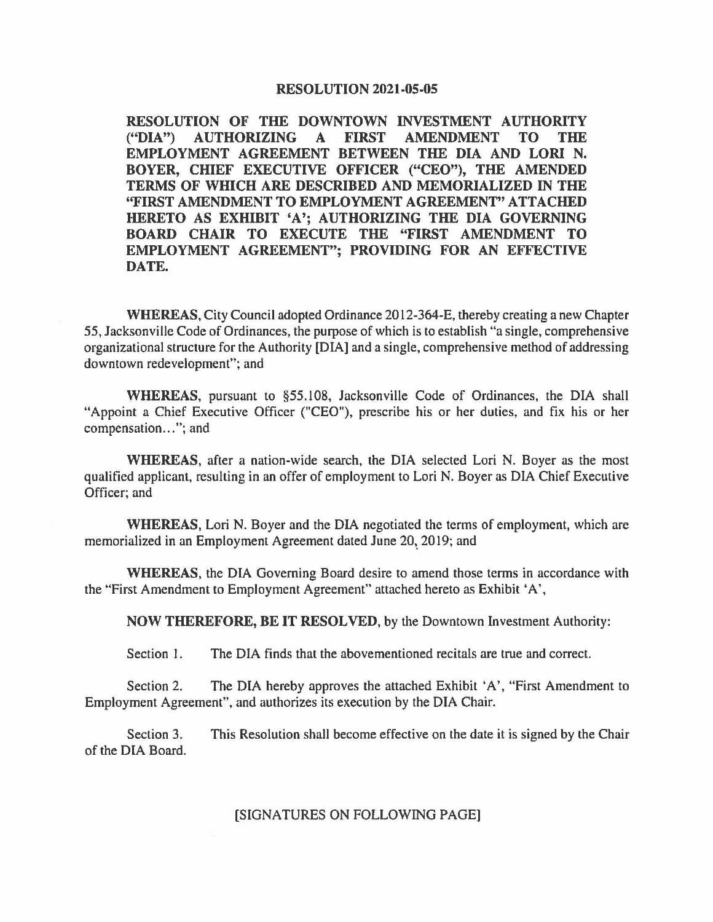## **RESOLUTION 2021-05-05**

**RESOLUTION OF THE DOWNTOWN INVESTMENT AUTHORITY ("DIA") AUTHORIZING A FIRST AMENDMENT TO THE EMPLOYMENT AGREEMENT BETWEEN THE DIA AND LORI N. BOYER, CHIEF EXECUTIVE OFFICER ("CEO"), THE AMENDED TERMS OF wmcH ARE** DESCRIBED **AND MEMORIALIZED IN THE ''FIRST AMENDMENT TO EMPLOYMENT AGREEMENT" ATTACHED HERETO AS EXHIBIT 'A'; AUTHORIZING THE DIA GOVERNING BOARD CHAIR TO EXECUTE THE "FIRST AMENDMENT TO EMPLOYMENT AGREEMENT"; PROVIDING FOR AN EFFECTIVE DATE.** 

**WHEREAS,** City Council adopted Ordinance 2012-364-E, thereby creating a new Chapter *55,* Jacksonville Code of Ordinances, the purpose of which is to establish "a single, comprehensive organizational structure for the Authority [DIA] and a single, comprehensive method of addressing downtown redevelopment"; and

**WHEREAS,** pursuant to §55.108, Jacksonville Code of Ordinances, the DIA shall "Appoint a Chief Executive Officer ("CEO"), prescribe his or her duties, and fix his or her compensation..."; and

**WHEREAS,** after a nation-wide search, the DIA selected Lori N. Boyer as the most qualified applicant, resulting in an offer of employment to Lori N. Boyer as DIA Chief Executive Officer; and

**WHEREAS,** Lori N. Boyer and the DIA negotiated the terms of employment, which are memorialized in an Employment Agreement dated June 20, 2019; and

**WHEREAS,** the DIA Governing Board desire to amend those terms in accordance with the "First Amendment to Employment Agreement" attached hereto as Exhibit •A',

**NOW THEREFORE, BE IT RESOLVED,** by the Downtown Investment Authority:

Section 1. The DIA finds that the abovementioned recitals are true and correct.

Section 2. The DIA hereby approves the attached Exhibit 'A', "First Amendment to Employment Agreement", and authorizes its execution by the DIA Chair.

Section 3. This Resolution shall become effective on the date it is signed by the Chair of the DIA Board.

## [SIGNATURES ON FOLLOWING PAGE]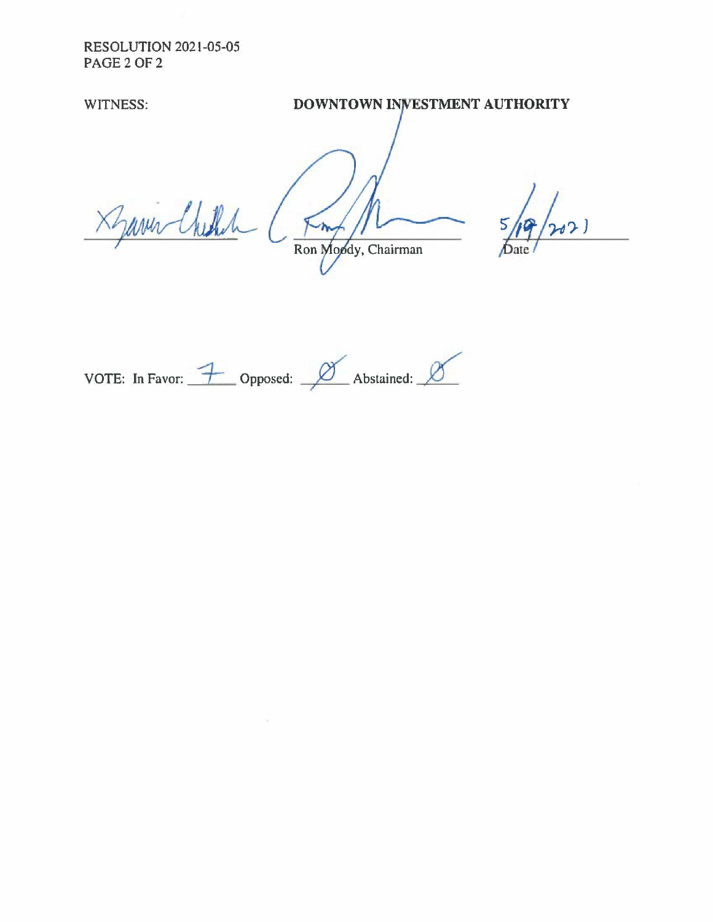**RESOLUTION 2021-05-05 PAGE20F2** 

WITNESS: **STATE BOWNTOWN INVESTMENT AUTHORITY** 

Xyani Chilh Ron Moody, Chairman

 $2)$ 

VOTE: In Favor:  $\overline{\mathcal{L}}$  Opposed:  $\overline{\mathscr{L}}$  Abstained:  $\overline{\mathscr{L}}$